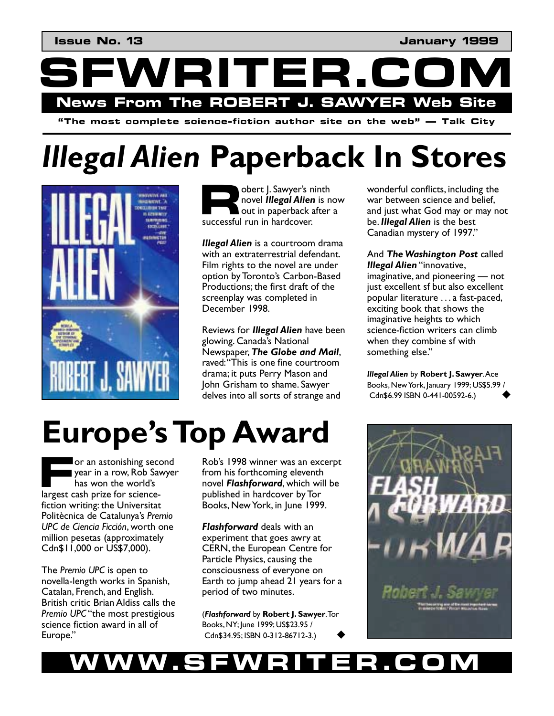**SFWRITER.COM News From The ROBERT J. SAWYER Web Site** 

**"The most complete science-fiction author site on the web" — Talk City** 

# *Illegal Alien* **Paperback In Stores**



obert J. Sawyer's ninth novel *Illegal Alien* is now out in paperback after a successful run in hardcover. **R** 

*Illegal Alien* is a courtroom drama with an extraterrestrial defendant. Film rights to the novel are under option by Toronto's Carbon-Based Productions; the first draft of the screenplay was completed in December 1998.

Reviews for *Illegal Alien* have been glowing. Canada's National Newspaper, *The Globe and Mail*, raved: "This is one fine courtroom drama; it puts Perry Mason and John Grisham to shame. Sawyer delves into all sorts of strange and

wonderful conflicts, including the war between science and belief, and just what God may or may not be. *Illegal Alien* is the best Canadian mystery of 1997."

And *The Washington Post* called **Illegal Alien** "innovative,  $imaginative$ , and pioneering  $-$  not just excellent sf but also excellent popular literature . . . a fast-paced, exciting book that shows the imaginative heights to which science-fiction writers can climb when they combine sf with something else."

*Illegal Alien* by **Robert J. Sawyer**. Ace Books, New York, January 1999; US\$5.99 / Cdn\$6.99 ISBN 0-441-00592-6.) !

## **Europe's Top Award**

or an astonishing second year in a row, Rob Sawyer has won the world's largest cash prize for science-**F** fiction writing: the Universitat Politècnica de Catalunya's Premio **UPC** de Ciencia Ficción, worth one million pesetas (approximately Cdn\$11,000 or US\$7,000).

The *Premio UPC* is open to novella-length works in Spanish, Catalan, French, and English. British critic Brian Aldiss calls the Premio UPC "the most prestigious science fiction award in all of Europe."

Robís 1998 winner was an excerpt from his forthcoming eleventh novel *Flashforward*, which will be published in hardcover by Tor Books, New York, in June 1999.

*Flashforward* deals with an experiment that goes awry at CERN, the European Centre for Particle Physics, causing the consciousness of everyone on Earth to jump ahead 21 years for a period of two minutes.

(*Flashforward* by **Robert J. Sawyer**. Tor Books, NY; June 1999; US\$23.95 / Cdn\$34.95; ISBN 0-312-86712-3.) !



### **WWW.SFWRITER.COM**